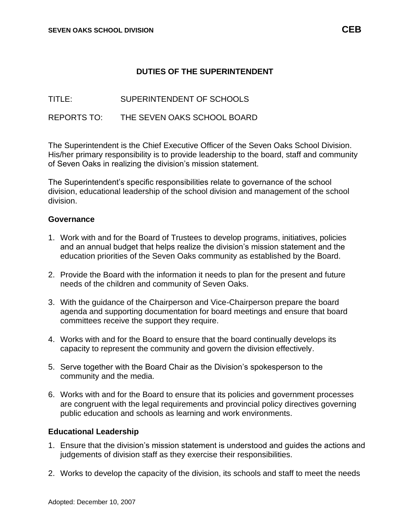## **DUTIES OF THE SUPERINTENDENT**

TITLE: SUPERINTENDENT OF SCHOOLS

REPORTS TO: THE SEVEN OAKS SCHOOL BOARD

The Superintendent is the Chief Executive Officer of the Seven Oaks School Division. His/her primary responsibility is to provide leadership to the board, staff and community of Seven Oaks in realizing the division's mission statement.

The Superintendent's specific responsibilities relate to governance of the school division, educational leadership of the school division and management of the school division.

## **Governance**

- 1. Work with and for the Board of Trustees to develop programs, initiatives, policies and an annual budget that helps realize the division's mission statement and the education priorities of the Seven Oaks community as established by the Board.
- 2. Provide the Board with the information it needs to plan for the present and future needs of the children and community of Seven Oaks.
- 3. With the guidance of the Chairperson and Vice-Chairperson prepare the board agenda and supporting documentation for board meetings and ensure that board committees receive the support they require.
- 4. Works with and for the Board to ensure that the board continually develops its capacity to represent the community and govern the division effectively.
- 5. Serve together with the Board Chair as the Division's spokesperson to the community and the media.
- 6. Works with and for the Board to ensure that its policies and government processes are congruent with the legal requirements and provincial policy directives governing public education and schools as learning and work environments.

## **Educational Leadership**

- 1. Ensure that the division's mission statement is understood and guides the actions and judgements of division staff as they exercise their responsibilities.
- 2. Works to develop the capacity of the division, its schools and staff to meet the needs